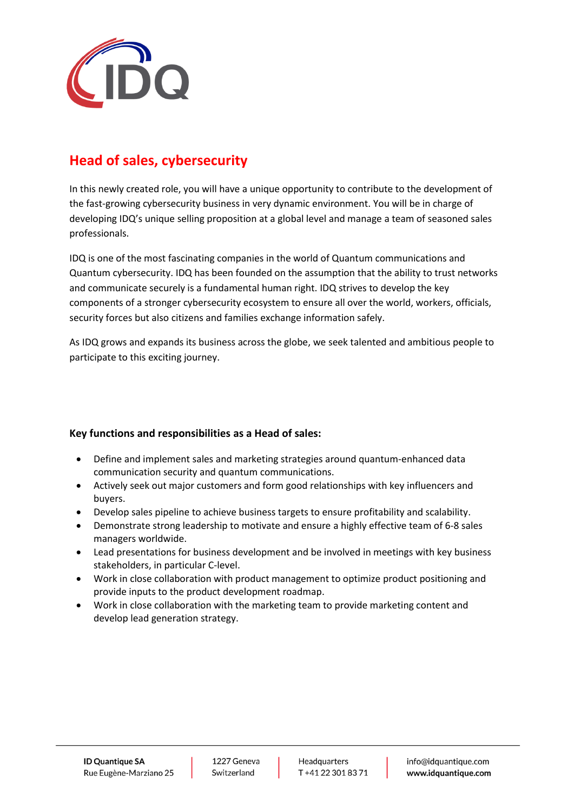

## **Head of sales, cybersecurity**

In this newly created role, you will have a unique opportunity to contribute to the development of the fast-growing cybersecurity business in very dynamic environment. You will be in charge of developing IDQ's unique selling proposition at a global level and manage a team of seasoned sales professionals.

IDQ is one of the most fascinating companies in the world of Quantum communications and Quantum cybersecurity. IDQ has been founded on the assumption that the ability to trust networks and communicate securely is a fundamental human right. IDQ strives to develop the key components of a stronger cybersecurity ecosystem to ensure all over the world, workers, officials, security forces but also citizens and families exchange information safely.

As IDQ grows and expands its business across the globe, we seek talented and ambitious people to participate to this exciting journey.

## **Key functions and responsibilities as a Head of sales:**

- Define and implement sales and marketing strategies around quantum-enhanced data communication security and quantum communications.
- Actively seek out major customers and form good relationships with key influencers and buyers.
- Develop sales pipeline to achieve business targets to ensure profitability and scalability.
- Demonstrate strong leadership to motivate and ensure a highly effective team of 6-8 sales managers worldwide.
- Lead presentations for business development and be involved in meetings with key business stakeholders, in particular C-level.
- Work in close collaboration with product management to optimize product positioning and provide inputs to the product development roadmap.
- Work in close collaboration with the marketing team to provide marketing content and develop lead generation strategy.